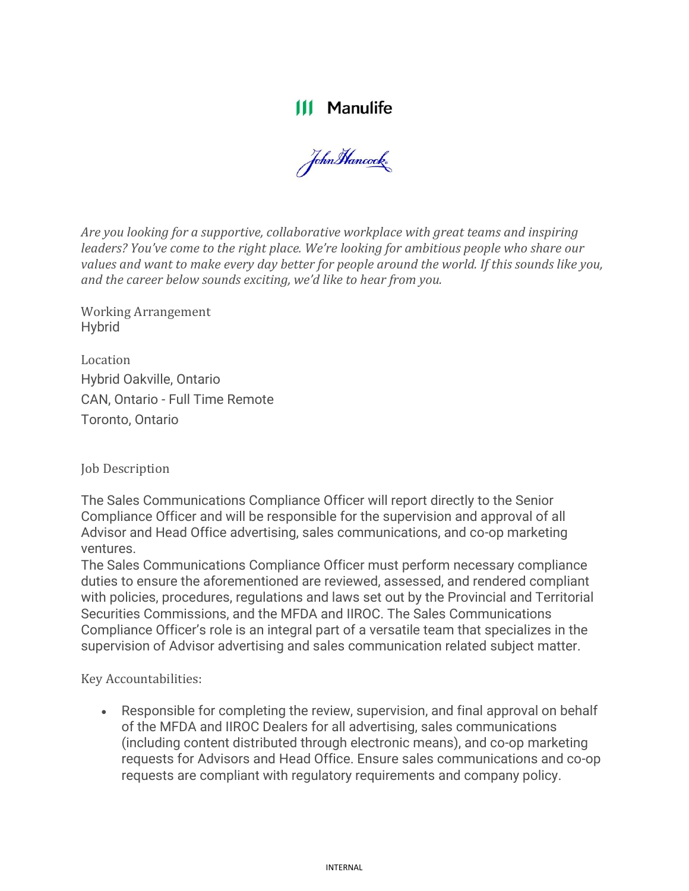## **111 Manulife**

John Hancock

*Are you looking for a supportive, collaborative workplace with great teams and inspiring leaders? You've come to the right place. We're looking for ambitious people who share our values and want to make every day better for people around the world. If this sounds like you, and the career below sounds exciting, we'd like to hear from you.*

Working Arrangement Hybrid

Location Hybrid Oakville, Ontario CAN, Ontario - Full Time Remote Toronto, Ontario

Job Description

The Sales Communications Compliance Officer will report directly to the Senior Compliance Officer and will be responsible for the supervision and approval of all Advisor and Head Office advertising, sales communications, and co-op marketing ventures.

The Sales Communications Compliance Officer must perform necessary compliance duties to ensure the aforementioned are reviewed, assessed, and rendered compliant with policies, procedures, regulations and laws set out by the Provincial and Territorial Securities Commissions, and the MFDA and IIROC. The Sales Communications Compliance Officer's role is an integral part of a versatile team that specializes in the supervision of Advisor advertising and sales communication related subject matter.

Key Accountabilities:

• Responsible for completing the review, supervision, and final approval on behalf of the MFDA and IIROC Dealers for all advertising, sales communications (including content distributed through electronic means), and co-op marketing requests for Advisors and Head Office. Ensure sales communications and co-op requests are compliant with regulatory requirements and company policy.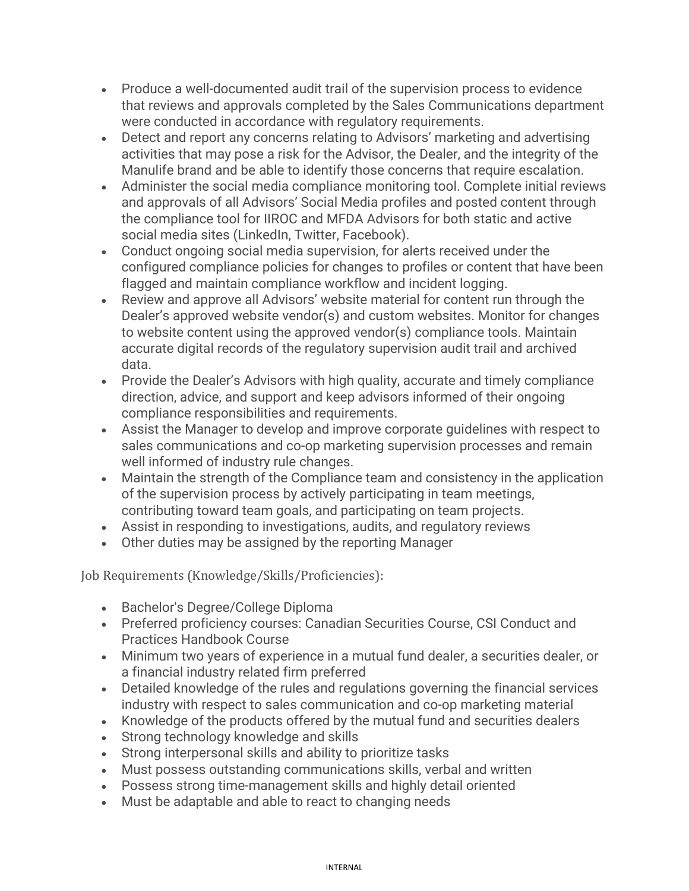- Produce a well-documented audit trail of the supervision process to evidence that reviews and approvals completed by the Sales Communications department were conducted in accordance with regulatory requirements.
- Detect and report any concerns relating to Advisors' marketing and advertising activities that may pose a risk for the Advisor, the Dealer, and the integrity of the Manulife brand and be able to identify those concerns that require escalation.
- Administer the social media compliance monitoring tool. Complete initial reviews and approvals of all Advisors' Social Media profiles and posted content through the compliance tool for IIROC and MFDA Advisors for both static and active social media sites (LinkedIn, Twitter, Facebook).
- Conduct ongoing social media supervision, for alerts received under the configured compliance policies for changes to profiles or content that have been flagged and maintain compliance workflow and incident logging.
- Review and approve all Advisors' website material for content run through the Dealer's approved website vendor(s) and custom websites. Monitor for changes to website content using the approved vendor(s) compliance tools. Maintain accurate digital records of the regulatory supervision audit trail and archived data.
- Provide the Dealer's Advisors with high quality, accurate and timely compliance direction, advice, and support and keep advisors informed of their ongoing compliance responsibilities and requirements.
- Assist the Manager to develop and improve corporate guidelines with respect to sales communications and co-op marketing supervision processes and remain well informed of industry rule changes.
- Maintain the strength of the Compliance team and consistency in the application of the supervision process by actively participating in team meetings, contributing toward team goals, and participating on team projects.
- Assist in responding to investigations, audits, and regulatory reviews
- Other duties may be assigned by the reporting Manager

Job Requirements (Knowledge/Skills/Proficiencies):

- Bachelor's Degree/College Diploma
- Preferred proficiency courses: Canadian Securities Course, CSI Conduct and Practices Handbook Course
- Minimum two years of experience in a mutual fund dealer, a securities dealer, or a financial industry related firm preferred
- Detailed knowledge of the rules and regulations governing the financial services industry with respect to sales communication and co-op marketing material
- Knowledge of the products offered by the mutual fund and securities dealers
- Strong technology knowledge and skills
- Strong interpersonal skills and ability to prioritize tasks
- Must possess outstanding communications skills, verbal and written
- Possess strong time-management skills and highly detail oriented
- Must be adaptable and able to react to changing needs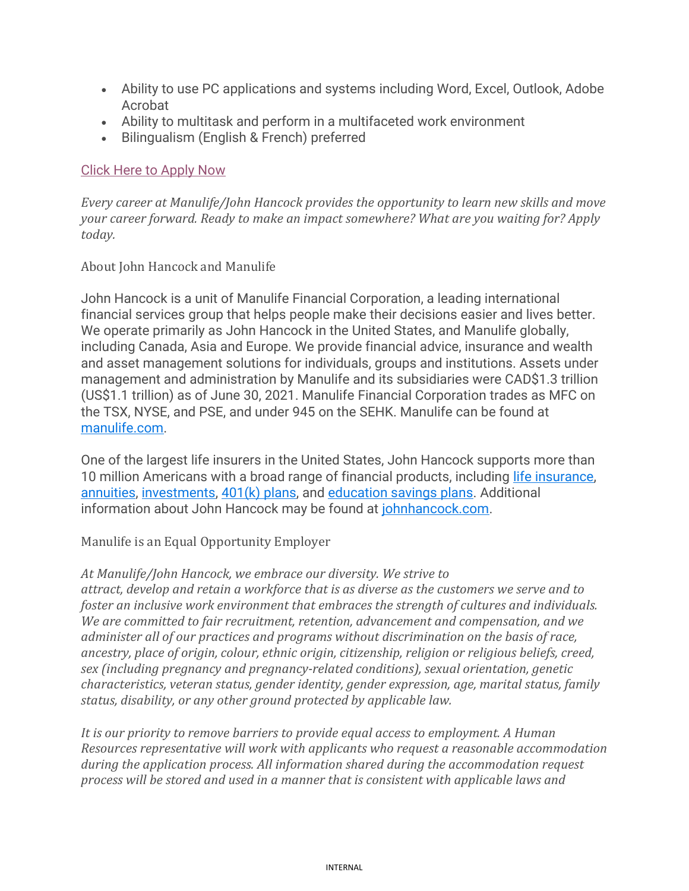- Ability to use PC applications and systems including Word, Excel, Outlook, Adobe Acrobat
- Ability to multitask and perform in a multifaceted work environment
- Bilingualism (English & French) preferred

## [Click Here to Apply](https://manulife.wd3.myworkdayjobs.com/MFCJH_Jobs/job/Oakville-Ontario/Sales-Communications-Compliance-Officer_JR22061533) Now

*Every career at Manulife/John Hancock provides the opportunity to learn new skills and move your career forward. Ready to make an impact somewhere? What are you waiting for? Apply today.*

## About John Hancock and Manulife

John Hancock is a unit of Manulife Financial Corporation, a leading international financial services group that helps people make their decisions easier and lives better. We operate primarily as John Hancock in the United States, and Manulife globally, including Canada, Asia and Europe. We provide financial advice, insurance and wealth and asset management solutions for individuals, groups and institutions. Assets under management and administration by Manulife and its subsidiaries were CAD\$1.3 trillion (US\$1.1 trillion) as of June 30, 2021. Manulife Financial Corporation trades as MFC on the TSX, NYSE, and PSE, and under 945 on the SEHK. Manulife can be found at [manulife.com.](https://www.manulife.com/)

One of the largest life insurers in the United States, John Hancock supports more than 10 million Americans with a broad range of financial products, including [life insurance,](https://www.johnhancock.com/life-insurance.html) [annuities,](https://www.jhannuities.com/Marketing/default.aspx) [investments,](https://www.jhinvestments.com/) [401\(k\) plans,](https://www.johnhancock.com/retirement.html) and [education savings plans.](https://www.jhinvestments.com/529) Additional information about John Hancock may be found at [johnhancock.com.](https://www.johnhancock.com/index.html)

Manulife is an Equal Opportunity Employer

## *At Manulife/John Hancock, we embrace our diversity. We strive to*

*attract, develop and retain a workforce that is as diverse as the customers we serve and to foster an inclusive work environment that embraces the strength of cultures and individuals. We are committed to fair recruitment, retention, advancement and compensation, and we administer all of our practices and programs without discrimination on the basis of race, ancestry, place of origin, colour, ethnic origin, citizenship, religion or religious beliefs, creed, sex (including pregnancy and pregnancy-related conditions), sexual orientation, genetic characteristics, veteran status, gender identity, gender expression, age, marital status, family status, disability, or any other ground protected by applicable law.*

*It is our priority to remove barriers to provide equal access to employment. A Human Resources representative will work with applicants who request a reasonable accommodation during the application process. All information shared during the accommodation request process will be stored and used in a manner that is consistent with applicable laws and*